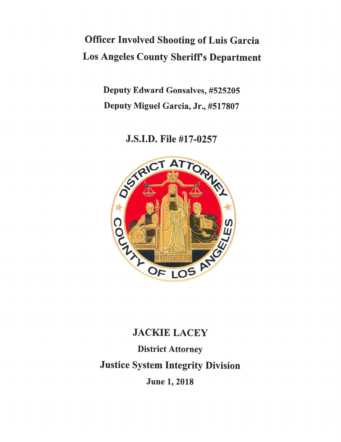# **Officer Involved Shooting of Luis Garcia Los Angeles County Sheriff's Department**

**Deputy Edward Gonsalves, #525205** Deputy Miguel Garcia, Jr., #517807

J.S.I.D. File #17-0257



# **JACKIE LACEY**

**District Attorney Justice System Integrity Division June 1, 2018**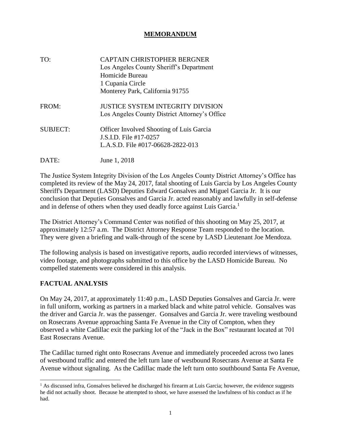### **MEMORANDUM**

| TO:             | CAPTAIN CHRISTOPHER BERGNER<br>Los Angeles County Sheriff's Department<br>Homicide Bureau<br>1 Cupania Circle<br>Monterey Park, California 91755 |
|-----------------|--------------------------------------------------------------------------------------------------------------------------------------------------|
| FROM:           | JUSTICE SYSTEM INTEGRITY DIVISION<br>Los Angeles County District Attorney's Office                                                               |
| <b>SUBJECT:</b> | <b>Officer Involved Shooting of Luis Garcia</b><br>J.S.I.D. File #17-0257<br>L.A.S.D. File #017-06628-2822-013                                   |
| DATE:           | June 1, 2018                                                                                                                                     |

The Justice System Integrity Division of the Los Angeles County District Attorney's Office has completed its review of the May 24, 2017, fatal shooting of Luis Garcia by Los Angeles County Sheriff's Department (LASD) Deputies Edward Gonsalves and Miguel Garcia Jr. It is our conclusion that Deputies Gonsalves and Garcia Jr. acted reasonably and lawfully in self-defense and in defense of others when they used deadly force against Luis Garcia.<sup>1</sup>

The District Attorney's Command Center was notified of this shooting on May 25, 2017, at approximately 12:57 a.m. The District Attorney Response Team responded to the location. They were given a briefing and walk-through of the scene by LASD Lieutenant Joe Mendoza.

The following analysis is based on investigative reports, audio recorded interviews of witnesses, video footage, and photographs submitted to this office by the LASD Homicide Bureau. No compelled statements were considered in this analysis.

# **FACTUAL ANALYSIS**

l

On May 24, 2017, at approximately 11:40 p.m., LASD Deputies Gonsalves and Garcia Jr. were in full uniform, working as partners in a marked black and white patrol vehicle. Gonsalves was the driver and Garcia Jr. was the passenger. Gonsalves and Garcia Jr. were traveling westbound on Rosecrans Avenue approaching Santa Fe Avenue in the City of Compton, when they observed a white Cadillac exit the parking lot of the "Jack in the Box" restaurant located at 701 East Rosecrans Avenue.

The Cadillac turned right onto Rosecrans Avenue and immediately proceeded across two lanes of westbound traffic and entered the left turn lane of westbound Rosecrans Avenue at Santa Fe Avenue without signaling. As the Cadillac made the left turn onto southbound Santa Fe Avenue,

<sup>&</sup>lt;sup>1</sup> As discussed infra, Gonsalves believed he discharged his firearm at Luis Garcia; however, the evidence suggests he did not actually shoot. Because he attempted to shoot, we have assessed the lawfulness of his conduct as if he had.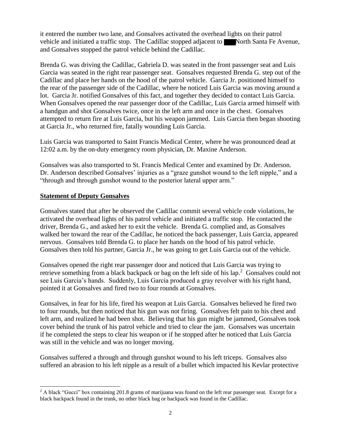it entered the number two lane, and Gonsalves activated the overhead lights on their patrol vehicle and initiated a traffic stop. The Cadillac stopped adjacent to North Santa Fe Avenue, and Gonsalves stopped the patrol vehicle behind the Cadillac.

Brenda G. was driving the Cadillac, Gabriela D. was seated in the front passenger seat and Luis Garcia was seated in the right rear passenger seat. Gonsalves requested Brenda G. step out of the Cadillac and place her hands on the hood of the patrol vehicle. Garcia Jr. positioned himself to the rear of the passenger side of the Cadillac, where he noticed Luis Garcia was moving around a lot. Garcia Jr. notified Gonsalves of this fact, and together they decided to contact Luis Garcia. When Gonsalves opened the rear passenger door of the Cadillac, Luis Garcia armed himself with a handgun and shot Gonsalves twice, once in the left arm and once in the chest. Gonsalves attempted to return fire at Luis Garcia, but his weapon jammed. Luis Garcia then began shooting at Garcia Jr., who returned fire, fatally wounding Luis Garcia.

Luis Garcia was transported to Saint Francis Medical Center, where he was pronounced dead at 12:02 a.m. by the on-duty emergency room physician, Dr. Maxine Anderson.

Gonsalves was also transported to St. Francis Medical Center and examined by Dr. Anderson. Dr. Anderson described Gonsalves' injuries as a "graze gunshot wound to the left nipple," and a "through and through gunshot wound to the posterior lateral upper arm."

#### **Statement of Deputy Gonsalves**

Gonsalves stated that after he observed the Cadillac commit several vehicle code violations, he activated the overhead lights of his patrol vehicle and initiated a traffic stop. He contacted the driver, Brenda G., and asked her to exit the vehicle. Brenda G. complied and, as Gonsalves walked her toward the rear of the Cadillac, he noticed the back passenger, Luis Garcia, appeared nervous. Gonsalves told Brenda G. to place her hands on the hood of his patrol vehicle. Gonsalves then told his partner, Garcia Jr., he was going to get Luis Garcia out of the vehicle.

Gonsalves opened the right rear passenger door and noticed that Luis Garcia was trying to retrieve something from a black backpack or bag on the left side of his lap.<sup>2</sup> Gonsalves could not see Luis Garcia's hands. Suddenly, Luis Garcia produced a gray revolver with his right hand, pointed it at Gonsalves and fired two to four rounds at Gonsalves.

Gonsalves, in fear for his life, fired his weapon at Luis Garcia. Gonsalves believed he fired two to four rounds, but then noticed that his gun was not firing. Gonsalves felt pain to his chest and left arm, and realized he had been shot. Believing that his gun might be jammed, Gonsalves took cover behind the trunk of his patrol vehicle and tried to clear the jam. Gonsalves was uncertain if he completed the steps to clear his weapon or if he stopped after he noticed that Luis Garcia was still in the vehicle and was no longer moving.

Gonsalves suffered a through and through gunshot wound to his left triceps. Gonsalves also suffered an abrasion to his left nipple as a result of a bullet which impacted his Kevlar protective

 $2$  A black "Gucci" box containing 201.8 grams of marijuana was found on the left rear passenger seat. Except for a black backpack found in the trunk, no other black bag or backpack was found in the Cadillac.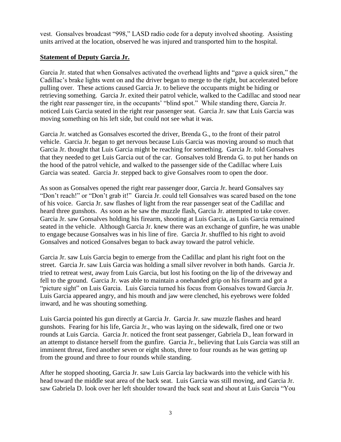vest. Gonsalves broadcast "998," LASD radio code for a deputy involved shooting. Assisting units arrived at the location, observed he was injured and transported him to the hospital.

# **Statement of Deputy Garcia Jr.**

Garcia Jr. stated that when Gonsalves activated the overhead lights and "gave a quick siren," the Cadillac's brake lights went on and the driver began to merge to the right, but accelerated before pulling over. These actions caused Garcia Jr. to believe the occupants might be hiding or retrieving something. Garcia Jr. exited their patrol vehicle, walked to the Cadillac and stood near the right rear passenger tire, in the occupants<sup>3</sup> "blind spot." While standing there, Garcia Jr. noticed Luis Garcia seated in the right rear passenger seat. Garcia Jr. saw that Luis Garcia was moving something on his left side, but could not see what it was.

Garcia Jr. watched as Gonsalves escorted the driver, Brenda G., to the front of their patrol vehicle. Garcia Jr. began to get nervous because Luis Garcia was moving around so much that Garcia Jr. thought that Luis Garcia might be reaching for something. Garcia Jr. told Gonsalves that they needed to get Luis Garcia out of the car. Gonsalves told Brenda G. to put her hands on the hood of the patrol vehicle, and walked to the passenger side of the Cadillac where Luis Garcia was seated. Garcia Jr. stepped back to give Gonsalves room to open the door.

As soon as Gonsalves opened the right rear passenger door, Garcia Jr. heard Gonsalves say "Don't reach!" or "Don't grab it!" Garcia Jr. could tell Gonsalves was scared based on the tone of his voice. Garcia Jr. saw flashes of light from the rear passenger seat of the Cadillac and heard three gunshots. As soon as he saw the muzzle flash, Garcia Jr. attempted to take cover. Garcia Jr. saw Gonsalves holding his firearm, shooting at Luis Garcia, as Luis Garcia remained seated in the vehicle. Although Garcia Jr. knew there was an exchange of gunfire, he was unable to engage because Gonsalves was in his line of fire. Garcia Jr. shuffled to his right to avoid Gonsalves and noticed Gonsalves began to back away toward the patrol vehicle.

Garcia Jr. saw Luis Garcia begin to emerge from the Cadillac and plant his right foot on the street. Garcia Jr. saw Luis Garcia was holding a small silver revolver in both hands. Garcia Jr. tried to retreat west, away from Luis Garcia, but lost his footing on the lip of the driveway and fell to the ground. Garcia Jr. was able to maintain a onehanded grip on his firearm and got a "picture sight" on Luis Garcia. Luis Garcia turned his focus from Gonsalves toward Garcia Jr. Luis Garcia appeared angry, and his mouth and jaw were clenched, his eyebrows were folded inward, and he was shouting something.

Luis Garcia pointed his gun directly at Garcia Jr. Garcia Jr. saw muzzle flashes and heard gunshots. Fearing for his life, Garcia Jr., who was laying on the sidewalk, fired one or two rounds at Luis Garcia. Garcia Jr. noticed the front seat passenger, Gabriela D., lean forward in an attempt to distance herself from the gunfire. Garcia Jr., believing that Luis Garcia was still an imminent threat, fired another seven or eight shots, three to four rounds as he was getting up from the ground and three to four rounds while standing.

After he stopped shooting, Garcia Jr. saw Luis Garcia lay backwards into the vehicle with his head toward the middle seat area of the back seat. Luis Garcia was still moving, and Garcia Jr. saw Gabriela D. look over her left shoulder toward the back seat and shout at Luis Garcia "You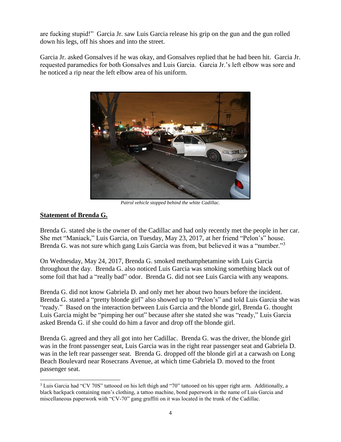are fucking stupid!" Garcia Jr. saw Luis Garcia release his grip on the gun and the gun rolled down his legs, off his shoes and into the street.

Garcia Jr. asked Gonsalves if he was okay, and Gonsalves replied that he had been hit. Garcia Jr. requested paramedics for both Gonsalves and Luis Garcia. Garcia Jr.'s left elbow was sore and he noticed a rip near the left elbow area of his uniform.



*Patrol vehicle stopped behind the white Cadillac.*

# **Statement of Brenda G.**

Brenda G. stated she is the owner of the Cadillac and had only recently met the people in her car. She met "Maniack," Luis Garcia, on Tuesday, May 23, 2017, at her friend "Pelon's" house. Brenda G. was not sure which gang Luis Garcia was from, but believed it was a "number."<sup>3</sup>

On Wednesday, May 24, 2017, Brenda G. smoked methamphetamine with Luis Garcia throughout the day. Brenda G. also noticed Luis Garcia was smoking something black out of some foil that had a "really bad" odor. Brenda G. did not see Luis Garcia with any weapons.

Brenda G. did not know Gabriela D. and only met her about two hours before the incident. Brenda G. stated a "pretty blonde girl" also showed up to "Pelon's" and told Luis Garcia she was "ready." Based on the interaction between Luis Garcia and the blonde girl, Brenda G. thought Luis Garcia might be "pimping her out" because after she stated she was "ready," Luis Garcia asked Brenda G. if she could do him a favor and drop off the blonde girl.

Brenda G. agreed and they all got into her Cadillac. Brenda G. was the driver, the blonde girl was in the front passenger seat, Luis Garcia was in the right rear passenger seat and Gabriela D. was in the left rear passenger seat. Brenda G. dropped off the blonde girl at a carwash on Long Beach Boulevard near Rosecrans Avenue, at which time Gabriela D. moved to the front passenger seat.

<sup>3</sup> Luis Garcia had "CV 70S" tattooed on his left thigh and "70" tattooed on his upper right arm. Additionally, a black backpack containing men's clothing, a tattoo machine, bond paperwork in the name of Luis Garcia and miscellaneous paperwork with "CV-70" gang graffiti on it was located in the trunk of the Cadillac.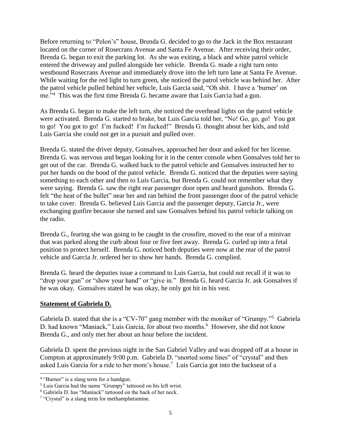Before returning to "Pelon's" house, Brenda G. decided to go to the Jack in the Box restaurant located on the corner of Rosecrans Avenue and Santa Fe Avenue. After receiving their order, Brenda G. began to exit the parking lot. As she was exiting, a black and white patrol vehicle entered the driveway and pulled alongside her vehicle. Brenda G. made a right turn onto westbound Rosecrans Avenue and immediately drove into the left turn lane at Santa Fe Avenue. While waiting for the red light to turn green, she noticed the patrol vehicle was behind her. After the patrol vehicle pulled behind her vehicle, Luis Garcia said, "Oh shit. I have a 'burner' on me."<sup>4</sup> This was the first time Brenda G. became aware that Luis Garcia had a gun.

As Brenda G. began to make the left turn, she noticed the overhead lights on the patrol vehicle were activated. Brenda G. started to brake, but Luis Garcia told her, "No! Go, go, go! You got to go! You got to go! I'm fucked! I'm fucked!" Brenda G. thought about her kids, and told Luis Garcia she could not get in a pursuit and pulled over.

Brenda G. stated the driver deputy, Gonsalves, approached her door and asked for her license. Brenda G. was nervous and began looking for it in the center console when Gonsalves told her to get out of the car. Brenda G. walked back to the patrol vehicle and Gonsalves instructed her to put her hands on the hood of the patrol vehicle. Brenda G. noticed that the deputies were saying something to each other and then to Luis Garcia, but Brenda G. could not remember what they were saying. Brenda G. saw the right rear passenger door open and heard gunshots. Brenda G. felt "the heat of the bullet" near her and ran behind the front passenger door of the patrol vehicle to take cover. Brenda G. believed Luis Garcia and the passenger deputy, Garcia Jr., were exchanging gunfire because she turned and saw Gonsalves behind his patrol vehicle talking on the radio.

Brenda G., fearing she was going to be caught in the crossfire, moved to the rear of a minivan that was parked along the curb about four or five feet away. Brenda G. curled up into a fetal position to protect herself. Brenda G. noticed both deputies were now at the rear of the patrol vehicle and Garcia Jr. ordered her to show her hands. Brenda G. complied.

Brenda G. heard the deputies issue a command to Luis Garcia, but could not recall if it was to "drop your gun" or "show your hand" or "give in." Brenda G. heard Garcia Jr. ask Gonsalves if he was okay. Gonsalves stated he was okay, he only got hit in his vest.

# **Statement of Gabriela D.**

Gabriela D. stated that she is a "CV-70" gang member with the moniker of "Grumpy."<sup>5</sup> Gabriela D. had known "Maniack," Luis Garcia, for about two months.<sup>6</sup> However, she did not know Brenda G., and only met her about an hour before the incident.

Gabriela D. spent the previous night in the San Gabriel Valley and was dropped off at a house in Compton at approximately 9:00 p.m. Gabriela D. "snorted some lines" of "crystal" and then asked Luis Garcia for a ride to her mom's house.<sup>7</sup> Luis Garcia got into the backseat of a

<sup>&</sup>lt;sup>4</sup> "Burner" is a slang term for a handgun.

<sup>&</sup>lt;sup>5</sup> Luis Garcia had the name "Grumpy" tattooed on his left wrist.

<sup>6</sup> Gabriela D. has "Maniack" tattooed on the back of her neck.

 $7$  "Crystal" is a slang term for methamphetamine.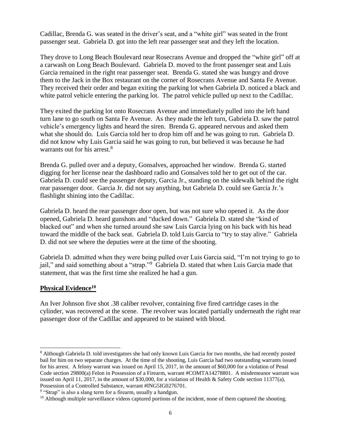Cadillac, Brenda G. was seated in the driver's seat, and a "white girl" was seated in the front passenger seat. Gabriela D. got into the left rear passenger seat and they left the location.

They drove to Long Beach Boulevard near Rosecrans Avenue and dropped the "white girl" off at a carwash on Long Beach Boulevard. Gabriela D. moved to the front passenger seat and Luis Garcia remained in the right rear passenger seat. Brenda G. stated she was hungry and drove them to the Jack in the Box restaurant on the corner of Rosecrans Avenue and Santa Fe Avenue. They received their order and began exiting the parking lot when Gabriela D. noticed a black and white patrol vehicle entering the parking lot. The patrol vehicle pulled up next to the Cadillac.

They exited the parking lot onto Rosecrans Avenue and immediately pulled into the left hand turn lane to go south on Santa Fe Avenue. As they made the left turn, Gabriela D. saw the patrol vehicle's emergency lights and heard the siren. Brenda G. appeared nervous and asked them what she should do. Luis Garcia told her to drop him off and he was going to run. Gabriela D. did not know why Luis Garcia said he was going to run, but believed it was because he had warrants out for his arrest.<sup>8</sup>

Brenda G. pulled over and a deputy, Gonsalves, approached her window. Brenda G. started digging for her license near the dashboard radio and Gonsalves told her to get out of the car. Gabriela D. could see the passenger deputy, Garcia Jr., standing on the sidewalk behind the right rear passenger door. Garcia Jr. did not say anything, but Gabriela D. could see Garcia Jr.'s flashlight shining into the Cadillac.

Gabriela D. heard the rear passenger door open, but was not sure who opened it. As the door opened, Gabriela D. heard gunshots and "ducked down." Gabriela D. stated she "kind of blacked out" and when she turned around she saw Luis Garcia lying on his back with his head toward the middle of the back seat. Gabriela D. told Luis Garcia to "try to stay alive." Gabriela D. did not see where the deputies were at the time of the shooting.

Gabriela D. admitted when they were being pulled over Luis Garcia said, "I'm not trying to go to jail," and said something about a "strap."<sup>9</sup> Gabriela D. stated that when Luis Garcia made that statement, that was the first time she realized he had a gun.

# **Physical Evidence<sup>10</sup>**

An Iver Johnson five shot .38 caliber revolver, containing five fired cartridge cases in the cylinder, was recovered at the scene. The revolver was located partially underneath the right rear passenger door of the Cadillac and appeared to be stained with blood.

<sup>9</sup> "Strap" is also a slang term for a firearm, usually a handgun.

<sup>8</sup> Although Gabriela D. told investigators she had only known Luis Garcia for two months, she had recently posted bail for him on two separate charges. At the time of the shooting, Luis Garcia had two outstanding warrants issued for his arrest. A felony warrant was issued on April 15, 2017, in the amount of \$60,000 for a violation of Penal Code section 29800(a) Felon in Possession of a Firearm, warrant #COMTA14278801. A misdemeanor warrant was issued on April 11, 2017, in the amount of \$30,000, for a violation of Health & Safety Code section 11377(a), Possession of a Controlled Substance, warrant #ING5IG0276701.

<sup>&</sup>lt;sup>10</sup> Although multiple surveillance videos captured portions of the incident, none of them captured the shooting.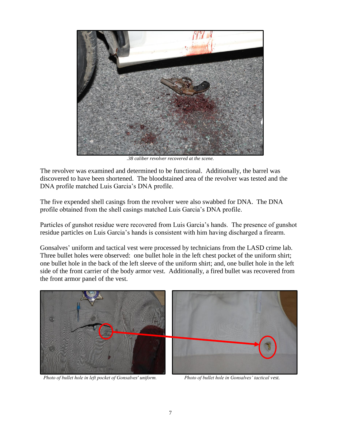

*.38 caliber revolver recovered at the scene.*

The revolver was examined and determined to be functional. Additionally, the barrel was discovered to have been shortened. The bloodstained area of the revolver was tested and the DNA profile matched Luis Garcia's DNA profile.

The five expended shell casings from the revolver were also swabbed for DNA. The DNA profile obtained from the shell casings matched Luis Garcia's DNA profile.

Particles of gunshot residue were recovered from Luis Garcia's hands. The presence of gunshot residue particles on Luis Garcia's hands is consistent with him having discharged a firearm.

Gonsalves' uniform and tactical vest were processed by technicians from the LASD crime lab. Three bullet holes were observed: one bullet hole in the left chest pocket of the uniform shirt; one bullet hole in the back of the left sleeve of the uniform shirt; and, one bullet hole in the left side of the front carrier of the body armor vest. Additionally, a fired bullet was recovered from the front armor panel of the vest.



*Photo of bullet hole in left pocket of Gonsalves' uniform. Photo of bullet hole in Gonsalves' tactical vest.*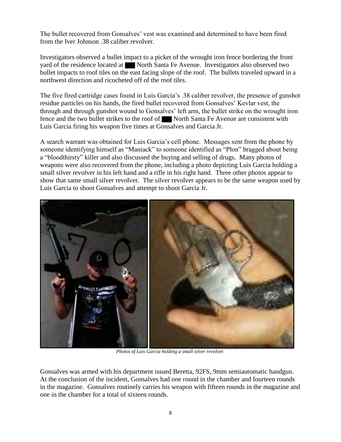The bullet recovered from Gonsalves' vest was examined and determined to have been fired from the Iver Johnson .38 caliber revolver.

Investigators observed a bullet impact to a picket of the wrought iron fence bordering the front yard of the residence located at North Santa Fe Avenue. Investigators also observed two bullet impacts to roof tiles on the east facing slope of the roof. The bullets traveled upward in a northwest direction and ricocheted off of the roof tiles.

The five fired cartridge cases found in Luis Garcia's .38 caliber revolver, the presence of gunshot residue particles on his hands, the fired bullet recovered from Gonsalves' Kevlar vest, the through and through gunshot wound to Gonsalves' left arm, the bullet strike on the wrought iron fence and the two bullet strikes to the roof of North Santa Fe Avenue are consistent with Luis Garcia firing his weapon five times at Gonsalves and Garcia Jr.

A search warrant was obtained for Luis Garcia's cell phone. Messages sent from the phone by someone identifying himself as "Maniack" to someone identified as "Plon" bragged about being a "bloodthirsty" killer and also discussed the buying and selling of drugs. Many photos of weapons were also recovered from the phone, including a photo depicting Luis Garcia holding a small silver revolver in his left hand and a rifle in his right hand. Three other photos appear to show that same small silver revolver. The silver revolver appears to be the same weapon used by Luis Garcia to shoot Gonsalves and attempt to shoot Garcia Jr.



*Photos of Luis Garcia holding a small silver revolver.*

Gonsalves was armed with his department issued Beretta, 92FS, 9mm semiautomatic handgun. At the conclusion of the incident, Gonsalves had one round in the chamber and fourteen rounds in the magazine. Gonsalves routinely carries his weapon with fifteen rounds in the magazine and one in the chamber for a total of sixteen rounds.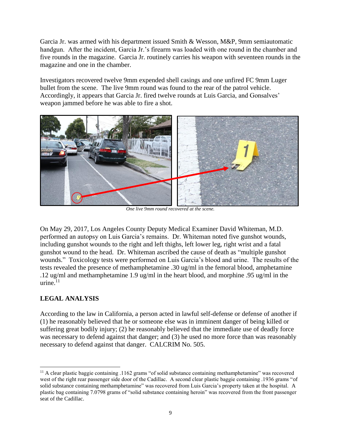Garcia Jr. was armed with his department issued Smith & Wesson, M&P, 9mm semiautomatic handgun. After the incident, Garcia Jr.'s firearm was loaded with one round in the chamber and five rounds in the magazine. Garcia Jr. routinely carries his weapon with seventeen rounds in the magazine and one in the chamber.

Investigators recovered twelve 9mm expended shell casings and one unfired FC 9mm Luger bullet from the scene. The live 9mm round was found to the rear of the patrol vehicle. Accordingly, it appears that Garcia Jr. fired twelve rounds at Luis Garcia, and Gonsalves' weapon jammed before he was able to fire a shot.



*One live 9mm round recovered at the scene.*

On May 29, 2017, Los Angeles County Deputy Medical Examiner David Whiteman, M.D. performed an autopsy on Luis Garcia's remains. Dr. Whiteman noted five gunshot wounds, including gunshot wounds to the right and left thighs, left lower leg, right wrist and a fatal gunshot wound to the head. Dr. Whiteman ascribed the cause of death as "multiple gunshot wounds." Toxicology tests were performed on Luis Garcia's blood and urine. The results of the tests revealed the presence of methamphetamine .30 ug/ml in the femoral blood, amphetamine .12 ug/ml and methamphetamine 1.9 ug/ml in the heart blood, and morphine .95 ug/ml in the urine. $^{11}$ 

# **LEGAL ANALYSIS**

According to the law in California, a person acted in lawful self-defense or defense of another if (1) he reasonably believed that he or someone else was in imminent danger of being killed or suffering great bodily injury; (2) he reasonably believed that the immediate use of deadly force was necessary to defend against that danger; and (3) he used no more force than was reasonably necessary to defend against that danger. CALCRIM No. 505.

<sup>11</sup> A clear plastic baggie containing .1162 grams "of solid substance containing methamphetamine" was recovered west of the right rear passenger side door of the Cadillac. A second clear plastic baggie containing .1936 grams "of solid substance containing methamphetamine" was recovered from Luis Garcia's property taken at the hospital. A plastic bag containing 7.0798 grams of "solid substance containing heroin" was recovered from the front passenger seat of the Cadillac.